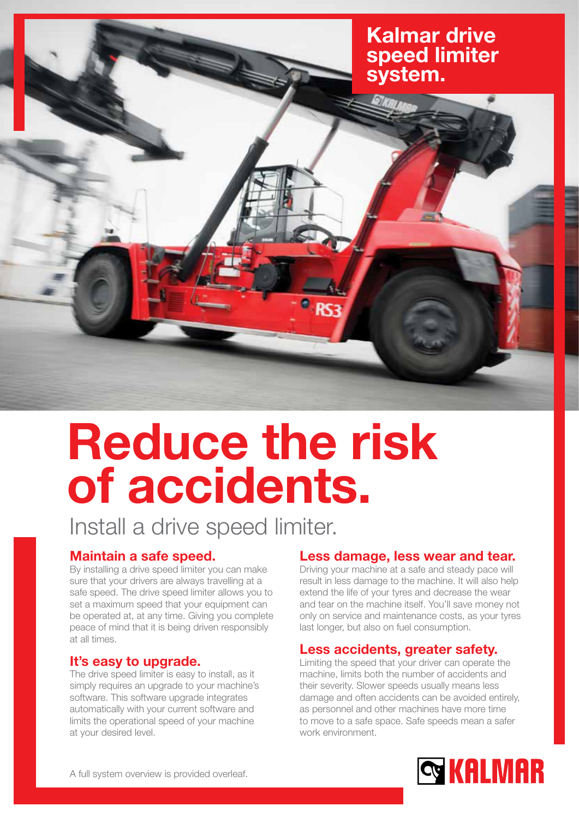# Kalmar drive speed limiter system.

## Reduce the risk of accidents.

Install a drive speed limiter.

### Maintain a safe speed.

By installing a drive speed limiter you can make sure that your drivers are always travelling at a safe speed. The drive speed limiter allows you to set a maximum speed that your equipment can be operated at, at any time. Giving you complete peace of mind that it is being driven responsibly at all times.

#### It's easy to upgrade.

The drive speed limiter is easy to install, as it simply requires an upgrade to your machine's software. This software upgrade integrates automatically with your current software and limits the operational speed of your machine at your desired level.

### Less damage, less wear and tear.

Driving your machine at a safe and steady pace will result in less damage to the machine. It will also help extend the life of your tyres and decrease the wear and tear on the machine itself. You'll save money not only on service and maintenance costs, as your tyres last longer, but also on fuel consumption.

#### Less accidents, greater safety.

Limiting the speed that your driver can operate the machine, limits both the number of accidents and their severity. Slower speeds usually means less damage and often accidents can be avoided entirely, as personnel and other machines have more time to move to a safe space. Safe speeds mean a safer work environment